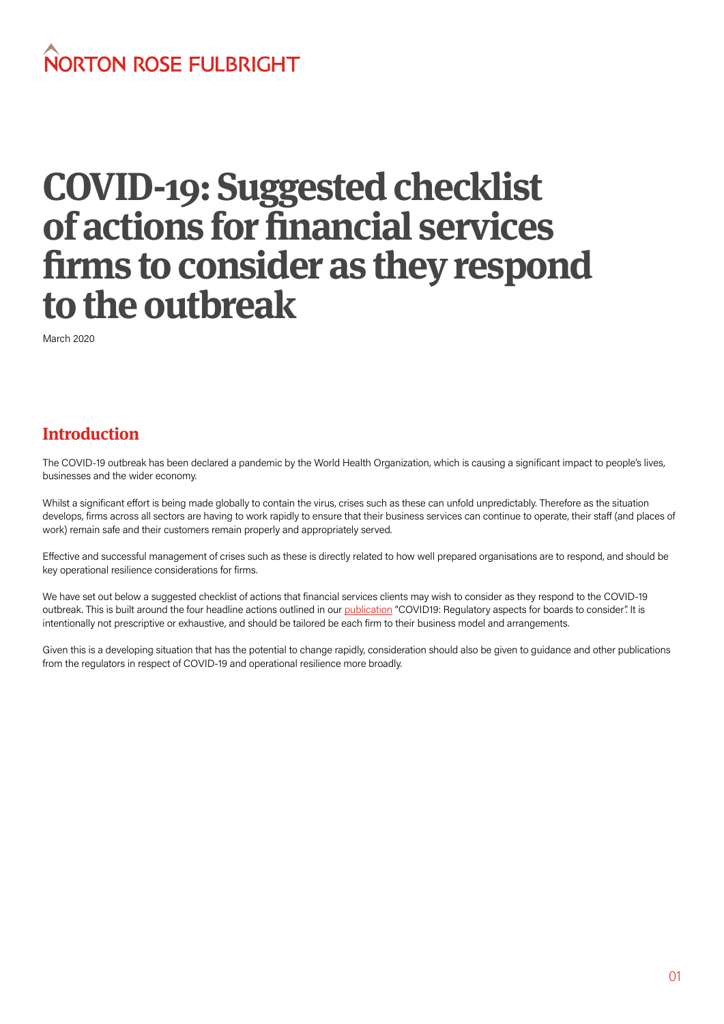# NORTON ROSE FULBRIGHT

# **COVID-19: Suggested checklist of actions for financial services firms to consider as they respond to the outbreak**

March 2020

## **Introduction**

The COVID-19 outbreak has been declared a pandemic by the World Health Organization, which is causing a significant impact to people's lives, businesses and the wider economy.

Whilst a significant effort is being made globally to contain the virus, crises such as these can unfold unpredictably. Therefore as the situation develops, firms across all sectors are having to work rapidly to ensure that their business services can continue to operate, their staff (and places of work) remain safe and their customers remain properly and appropriately served.

Effective and successful management of crises such as these is directly related to how well prepared organisations are to respond, and should be key operational resilience considerations for firms.

We have set out below a suggested checklist of actions that financial services clients may wish to consider as they respond to the COVID-19 outbreak. This is built around the four headline actions outlined in our [publication](https://www.nortonrosefulbright.com/en-gb/knowledge/publications/c39f4cf9/covid19-regulatory-aspects-for-boards-to-consider) "COVID19: Regulatory aspects for boards to consider". It is intentionally not prescriptive or exhaustive, and should be tailored be each firm to their business model and arrangements.

Given this is a developing situation that has the potential to change rapidly, consideration should also be given to guidance and other publications from the regulators in respect of COVID-19 and operational resilience more broadly.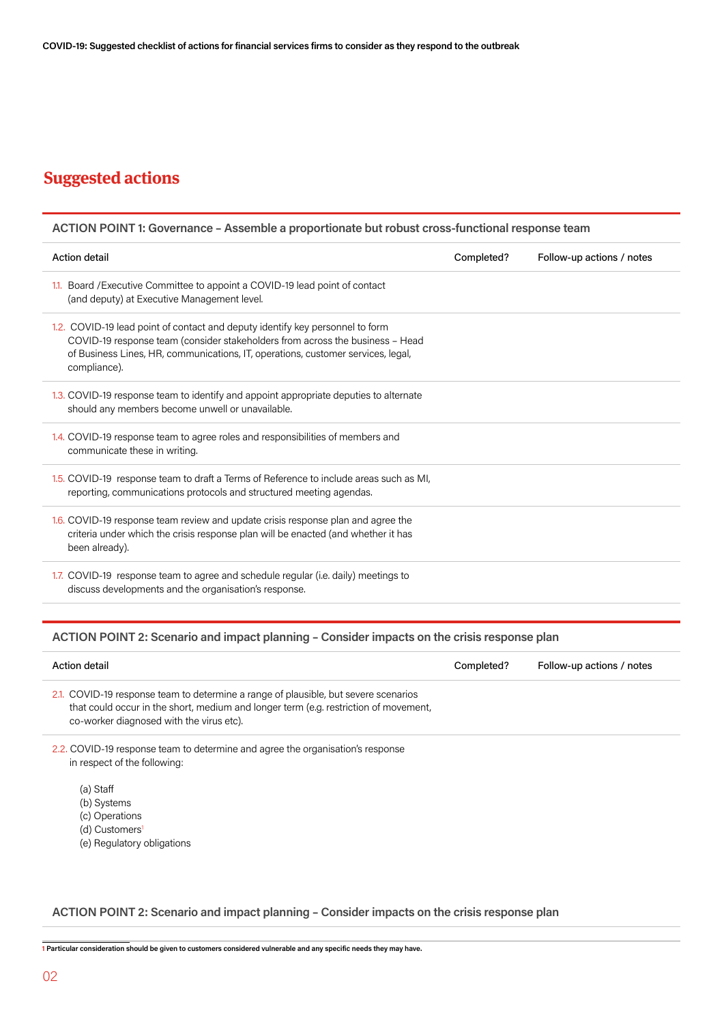## **Suggested actions**

| ACTION POINT 1: Governance - Assemble a proportionate but robust cross-functional response team                                                                                                                                                                    |            |                           |  |
|--------------------------------------------------------------------------------------------------------------------------------------------------------------------------------------------------------------------------------------------------------------------|------------|---------------------------|--|
| <b>Action detail</b>                                                                                                                                                                                                                                               | Completed? | Follow-up actions / notes |  |
| 1.1. Board / Executive Committee to appoint a COVID-19 lead point of contact<br>(and deputy) at Executive Management level.                                                                                                                                        |            |                           |  |
| 1.2. COVID-19 lead point of contact and deputy identify key personnel to form<br>COVID-19 response team (consider stakeholders from across the business - Head<br>of Business Lines, HR, communications, IT, operations, customer services, legal,<br>compliance). |            |                           |  |
| 1.3. COVID-19 response team to identify and appoint appropriate deputies to alternate<br>should any members become unwell or unavailable.                                                                                                                          |            |                           |  |
| 1.4. COVID-19 response team to agree roles and responsibilities of members and<br>communicate these in writing.                                                                                                                                                    |            |                           |  |
| 1.5. COVID-19 response team to draft a Terms of Reference to include areas such as MI,<br>reporting, communications protocols and structured meeting agendas.                                                                                                      |            |                           |  |
| 1.6. COVID-19 response team review and update crisis response plan and agree the<br>criteria under which the crisis response plan will be enacted (and whether it has<br>been already).                                                                            |            |                           |  |
| 1.7. COVID-19 response team to agree and schedule regular (i.e. daily) meetings to<br>discuss developments and the organisation's response.                                                                                                                        |            |                           |  |
|                                                                                                                                                                                                                                                                    |            |                           |  |

## **ACTION POINT 2: Scenario and impact planning – Consider impacts on the crisis response plan**

| Action detail                                                                                                                                                                                                           | Completed? | Follow-up actions / notes |
|-------------------------------------------------------------------------------------------------------------------------------------------------------------------------------------------------------------------------|------------|---------------------------|
| 2.1. COVID-19 response team to determine a range of plausible, but severe scenarios<br>that could occur in the short, medium and longer term (e.g. restriction of movement,<br>co-worker diagnosed with the virus etc). |            |                           |
| 2.2. COVID-19 response team to determine and agree the organisation's response<br>in respect of the following:                                                                                                          |            |                           |

- (a) Staff
- (b) Systems
- (c) Operations
- (d) Customers<sup>1</sup>
- (e) Regulatory obligations

```
ACTION POINT 2: Scenario and impact planning – Consider impacts on the crisis response plan
```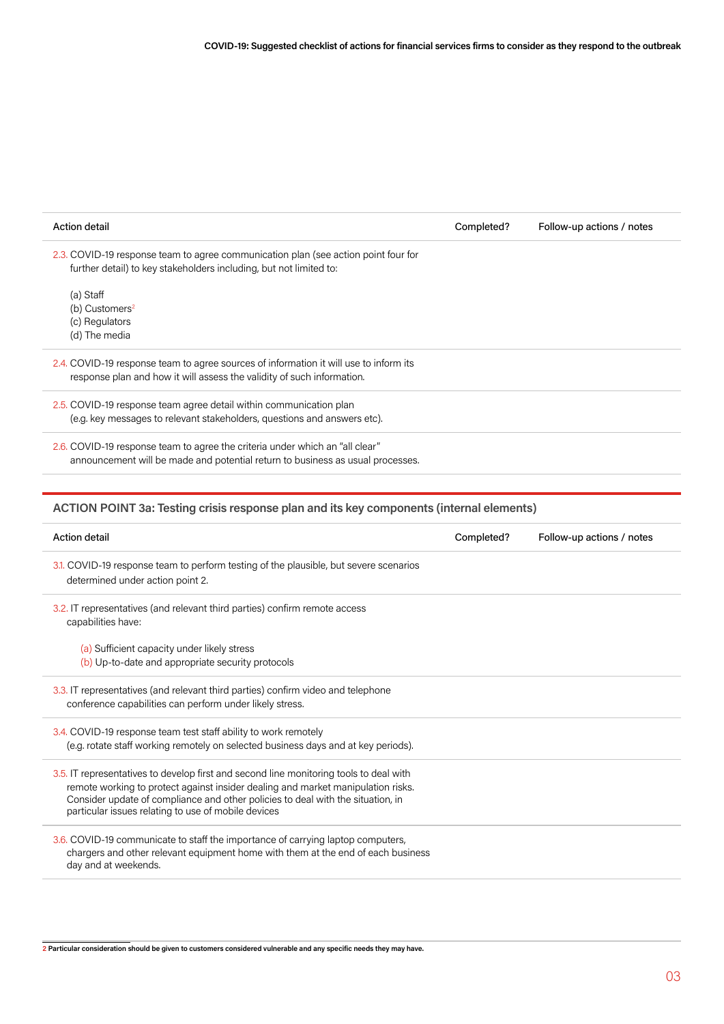| <b>Action detail</b>                                                                                                                                                | Completed? | Follow-up actions / notes |
|---------------------------------------------------------------------------------------------------------------------------------------------------------------------|------------|---------------------------|
| 2.3. COVID-19 response team to agree communication plan (see action point four for<br>further detail) to key stakeholders including, but not limited to:            |            |                           |
| (a) Staff                                                                                                                                                           |            |                           |
| (b) Customers <sup>2</sup><br>(c) Regulators                                                                                                                        |            |                           |
| (d) The media                                                                                                                                                       |            |                           |
| 2.4. COVID-19 response team to agree sources of information it will use to inform its                                                                               |            |                           |
| response plan and how it will assess the validity of such information.                                                                                              |            |                           |
| 2.5. COVID-19 response team agree detail within communication plan                                                                                                  |            |                           |
| (e.g. key messages to relevant stakeholders, questions and answers etc).                                                                                            |            |                           |
| 2.6. COVID-19 response team to agree the criteria under which an "all clear"                                                                                        |            |                           |
| announcement will be made and potential return to business as usual processes.                                                                                      |            |                           |
|                                                                                                                                                                     |            |                           |
| ACTION POINT 3a: Testing crisis response plan and its key components (internal elements)                                                                            |            |                           |
| <b>Action detail</b>                                                                                                                                                | Completed? | Follow-up actions / notes |
|                                                                                                                                                                     |            |                           |
| 3.1. COVID-19 response team to perform testing of the plausible, but severe scenarios<br>determined under action point 2.                                           |            |                           |
| 3.2. IT representatives (and relevant third parties) confirm remote access<br>capabilities have:                                                                    |            |                           |
| (a) Sufficient capacity under likely stress                                                                                                                         |            |                           |
| (b) Up-to-date and appropriate security protocols                                                                                                                   |            |                           |
| 3.3. IT representatives (and relevant third parties) confirm video and telephone                                                                                    |            |                           |
| conference capabilities can perform under likely stress.                                                                                                            |            |                           |
| 3.4. COVID-19 response team test staff ability to work remotely                                                                                                     |            |                           |
| (e.g. rotate staff working remotely on selected business days and at key periods).                                                                                  |            |                           |
| 3.5. IT representatives to develop first and second line monitoring tools to deal with                                                                              |            |                           |
| remote working to protect against insider dealing and market manipulation risks.<br>Consider update of compliance and other policies to deal with the situation, in |            |                           |
| particular issues relating to use of mobile devices                                                                                                                 |            |                           |
| 3.6. COVID-19 communicate to staff the importance of carrying laptop computers,                                                                                     |            |                           |
| chargers and other relevant equipment home with them at the end of each business<br>day and at weekends.                                                            |            |                           |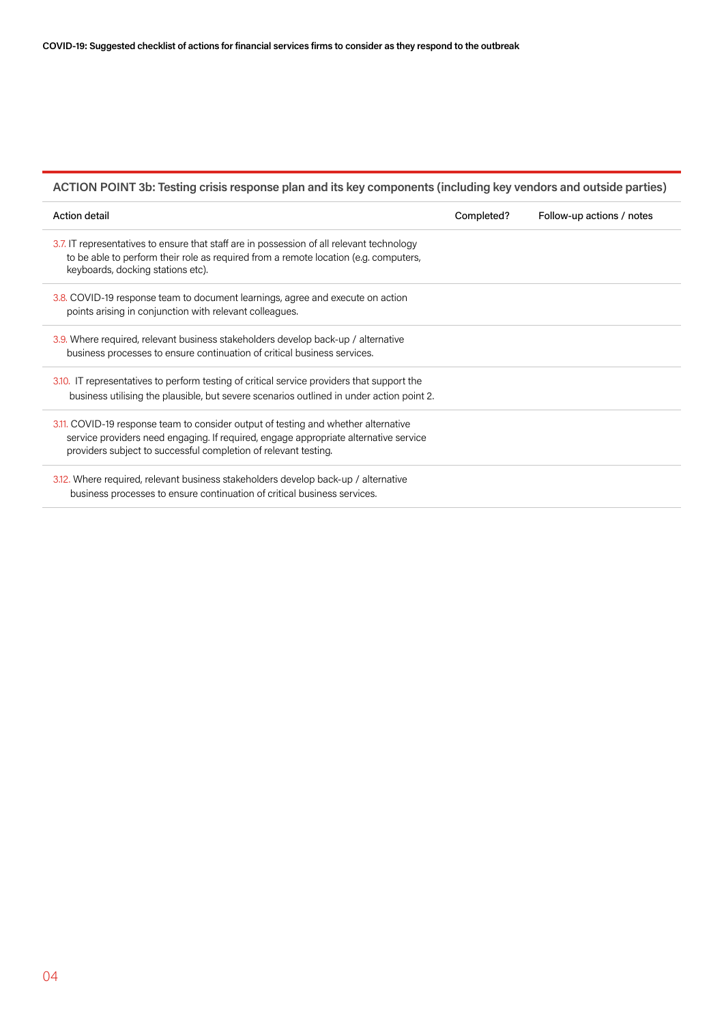## **ACTION POINT 3b: Testing crisis response plan and its key components (including key vendors and outside parties)**

| Action detail                                                                                                                                                                                                                                 | Completed? | Follow-up actions / notes |
|-----------------------------------------------------------------------------------------------------------------------------------------------------------------------------------------------------------------------------------------------|------------|---------------------------|
| 3.7. IT representatives to ensure that staff are in possession of all relevant technology<br>to be able to perform their role as required from a remote location (e.g. computers,<br>keyboards, docking stations etc).                        |            |                           |
| 3.8. COVID-19 response team to document learnings, agree and execute on action<br>points arising in conjunction with relevant colleagues.                                                                                                     |            |                           |
| 3.9. Where required, relevant business stakeholders develop back-up / alternative<br>business processes to ensure continuation of critical business services.                                                                                 |            |                           |
| 3.10. IT representatives to perform testing of critical service providers that support the<br>business utilising the plausible, but severe scenarios outlined in under action point 2.                                                        |            |                           |
| 3.11. COVID-19 response team to consider output of testing and whether alternative<br>service providers need engaging. If required, engage appropriate alternative service<br>providers subject to successful completion of relevant testing. |            |                           |
| 3.12. Where required, relevant business stakeholders develop back-up / alternative<br>business processes to ensure continuation of critical business services.                                                                                |            |                           |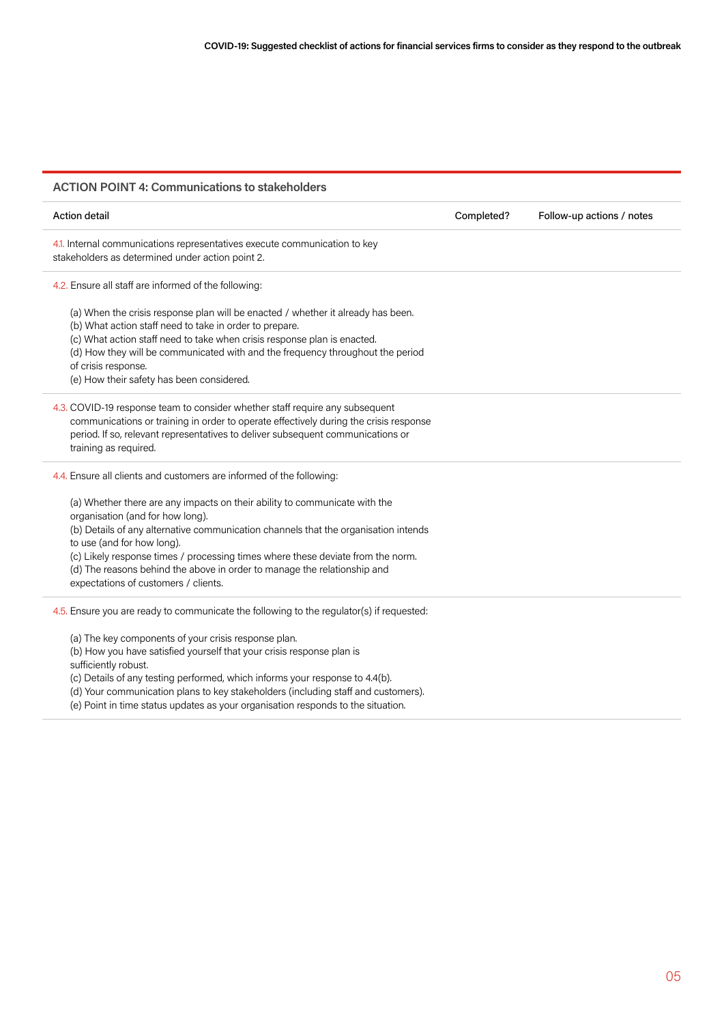## **ACTION POINT 4: Communications to stakeholders**

| <b>Action detail</b>                                                                                                                                                                                                                                                                                                                                                                                                                       | Completed? | Follow-up actions / notes |
|--------------------------------------------------------------------------------------------------------------------------------------------------------------------------------------------------------------------------------------------------------------------------------------------------------------------------------------------------------------------------------------------------------------------------------------------|------------|---------------------------|
| 4.1. Internal communications representatives execute communication to key<br>stakeholders as determined under action point 2.                                                                                                                                                                                                                                                                                                              |            |                           |
| 4.2. Ensure all staff are informed of the following:                                                                                                                                                                                                                                                                                                                                                                                       |            |                           |
| (a) When the crisis response plan will be enacted / whether it already has been.<br>(b) What action staff need to take in order to prepare.<br>(c) What action staff need to take when crisis response plan is enacted.<br>(d) How they will be communicated with and the frequency throughout the period<br>of crisis response.<br>(e) How their safety has been considered.                                                              |            |                           |
| 4.3. COVID-19 response team to consider whether staff require any subsequent<br>communications or training in order to operate effectively during the crisis response<br>period. If so, relevant representatives to deliver subsequent communications or<br>training as required.                                                                                                                                                          |            |                           |
| 4.4. Ensure all clients and customers are informed of the following:                                                                                                                                                                                                                                                                                                                                                                       |            |                           |
| (a) Whether there are any impacts on their ability to communicate with the<br>organisation (and for how long).<br>(b) Details of any alternative communication channels that the organisation intends<br>to use (and for how long).<br>(c) Likely response times / processing times where these deviate from the norm.<br>(d) The reasons behind the above in order to manage the relationship and<br>expectations of customers / clients. |            |                           |
| 4.5. Ensure you are ready to communicate the following to the regulator(s) if requested:                                                                                                                                                                                                                                                                                                                                                   |            |                           |
| (a) The key components of your crisis response plan.<br>(b) How you have satisfied yourself that your crisis response plan is<br>sufficiently robust.<br>(c) Details of any testing performed, which informs your response to 4.4(b).<br>لأمعروه وعويرو والمرور كالمغم بموزاتها والموزان وعماما والمعامل يمرار وعامرها وسواحر ويعانعوا ويستوصف ورزولا لالوا                                                                                |            |                           |

(d) Your communication plans to key stakeholders (including staff and customers).

(e) Point in time status updates as your organisation responds to the situation.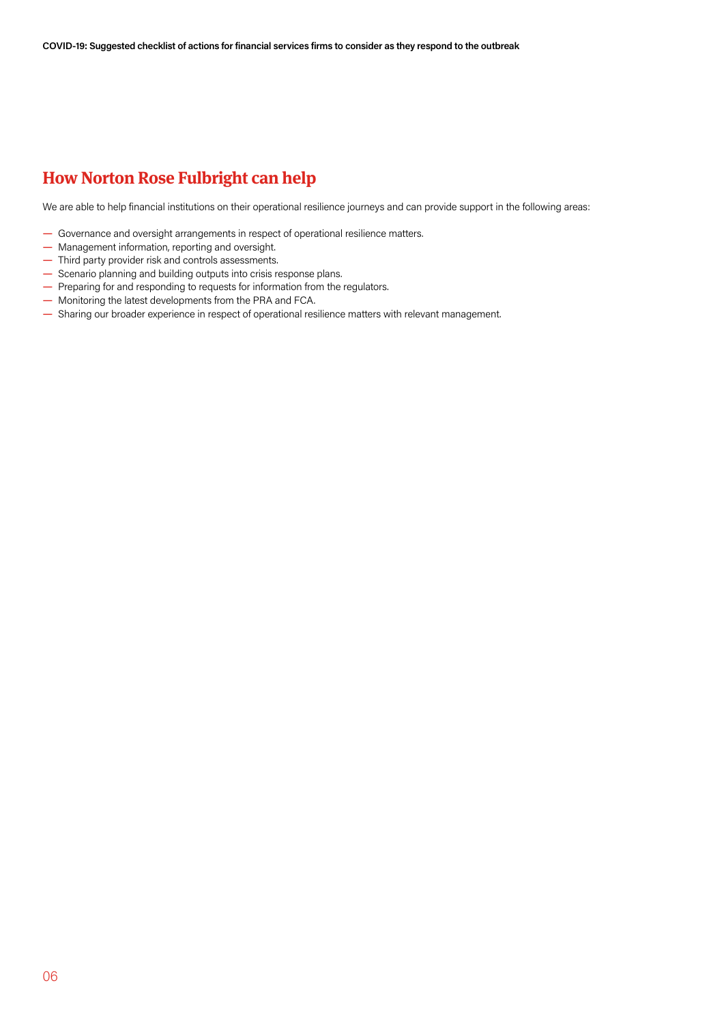## **How Norton Rose Fulbright can help**

We are able to help financial institutions on their operational resilience journeys and can provide support in the following areas:

- Governance and oversight arrangements in respect of operational resilience matters.
- Management information, reporting and oversight.
- Third party provider risk and controls assessments.
- Scenario planning and building outputs into crisis response plans.
- Preparing for and responding to requests for information from the regulators.
- Monitoring the latest developments from the PRA and FCA.
- Sharing our broader experience in respect of operational resilience matters with relevant management.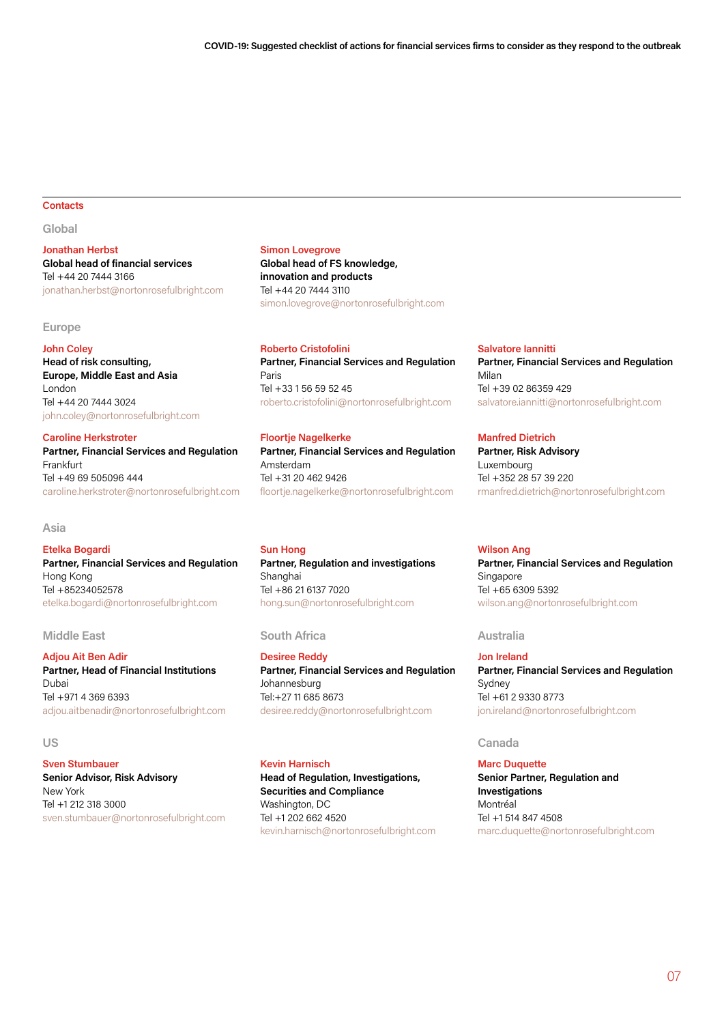## **Contacts**

**Global**

**Jonathan Herbst Global head of financial services** Tel +44 20 7444 3166 jonathan.herbst@nortonrosefulbright.com

## **Europe**

## **John Coley**

**Head of risk consulting, Europe, Middle East and Asia** London Tel +44 20 7444 3024 john.coley@nortonrosefulbright.com

## **Caroline Herkstroter**

**Partner, Financial Services and Regulation** Frankfurt Tel +49 69 505096 444 caroline.herkstroter@nortonrosefulbright.com

## **Asia**

### **Etelka Bogardi**

**Partner, Financial Services and Regulation** Hong Kong Tel +85234052578 etelka.bogardi@nortonrosefulbright.com

**Adjou Ait Ben Adir Partner, Head of Financial Institutions** Dubai Tel +971 4 369 6393 adjou.aitbenadir@nortonrosefulbright.com

**Sven Stumbauer Senior Advisor, Risk Advisory** New York Tel +1 212 318 3000 sven.stumbauer@nortonrosefulbright.com

## **Simon Lovegrove**

**Global head of FS knowledge, innovation and products** Tel +44 20 7444 3110 simon.lovegrove@nortonrosefulbright.com

### **Roberto Cristofolini**

**Partner, Financial Services and Regulation** Paris Tel +33 1 56 59 52 45 roberto.cristofolini@nortonrosefulbright.com

## **Floortje Nagelkerke**

**Partner, Financial Services and Regulation** Amsterdam Tel +31 20 462 9426 floortje.nagelkerke@nortonrosefulbright.com

**Sun Hong Partner, Regulation and investigations** Shanghai Tel +86 21 6137 7020 hong.sun@nortonrosefulbright.com

## **Middle East South Africa Australia**

**Desiree Reddy Partner, Financial Services and Regulation** Johannesburg Tel:+27 11 685 8673 desiree.reddy@nortonrosefulbright.com

## **Kevin Harnisch**

**Head of Regulation, Investigations, Securities and Compliance** Washington, DC Tel +1 202 662 4520 kevin.harnisch@nortonrosefulbright.com

### **Salvatore Iannitti**

**Partner, Financial Services and Regulation** Milan Tel +39 02 86359 429 salvatore.iannitti@nortonrosefulbright.com

## **Manfred Dietrich**

**Partner, Risk Advisory** Luxembourg Tel +352 28 57 39 220 rmanfred.dietrich@nortonrosefulbright.com

### **Wilson Ang**

**Partner, Financial Services and Regulation** Singapore Tel +65 6309 5392 wilson.ang@nortonrosefulbright.com

**Jon Ireland Partner, Financial Services and Regulation** Sydney Tel +61 2 9330 8773 jon.ireland@nortonrosefulbright.com

## **US Canada**

**Marc Duquette Senior Partner, Regulation and Investigations** Montréal Tel +1 514 847 4508 marc.duquette@nortonrosefulbright.com